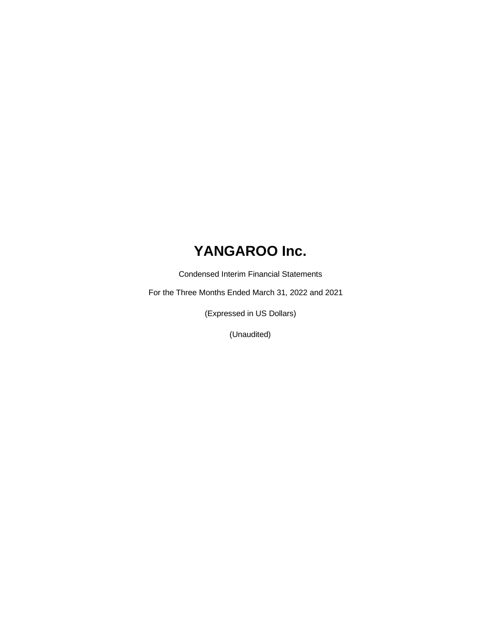Condensed Interim Financial Statements

For the Three Months Ended March 31, 2022 and 2021

(Expressed in US Dollars)

(Unaudited)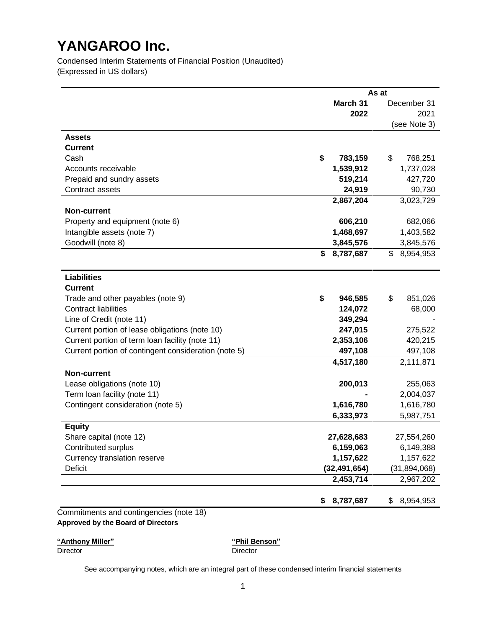Condensed Interim Statements of Financial Position (Unaudited) (Expressed in US dollars)

|                                                      |                 | As at |                |  |  |
|------------------------------------------------------|-----------------|-------|----------------|--|--|
|                                                      | March 31        |       | December 31    |  |  |
|                                                      |                 | 2022  | 2021           |  |  |
|                                                      |                 |       | (see Note 3)   |  |  |
| Assets                                               |                 |       |                |  |  |
| <b>Current</b>                                       |                 |       |                |  |  |
| Cash                                                 | \$<br>783,159   | \$    | 768,251        |  |  |
| Accounts receivable                                  | 1,539,912       |       | 1,737,028      |  |  |
| Prepaid and sundry assets                            | 519,214         |       | 427,720        |  |  |
| Contract assets                                      | 24,919          |       | 90,730         |  |  |
|                                                      | 2,867,204       |       | 3,023,729      |  |  |
| <b>Non-current</b>                                   |                 |       |                |  |  |
| Property and equipment (note 6)                      | 606,210         |       | 682,066        |  |  |
| Intangible assets (note 7)                           | 1,468,697       |       | 1,403,582      |  |  |
| Goodwill (note 8)                                    | 3,845,576       |       | 3,845,576      |  |  |
|                                                      | 8,787,687<br>\$ | \$    | 8,954,953      |  |  |
| <b>Liabilities</b>                                   |                 |       |                |  |  |
| <b>Current</b>                                       |                 |       |                |  |  |
| Trade and other payables (note 9)                    | \$<br>946,585   | \$    | 851,026        |  |  |
| <b>Contract liabilities</b>                          | 124,072         |       | 68,000         |  |  |
| Line of Credit (note 11)                             | 349,294         |       |                |  |  |
| Current portion of lease obligations (note 10)       | 247,015         |       | 275,522        |  |  |
| Current portion of term loan facility (note 11)      | 2,353,106       |       | 420,215        |  |  |
| Current portion of contingent consideration (note 5) | 497,108         |       | 497,108        |  |  |
|                                                      | 4,517,180       |       | 2,111,871      |  |  |
| <b>Non-current</b>                                   |                 |       |                |  |  |
| Lease obligations (note 10)                          | 200,013         |       | 255,063        |  |  |
| Term loan facility (note 11)                         |                 |       | 2,004,037      |  |  |
| Contingent consideration (note 5)                    | 1,616,780       |       | 1,616,780      |  |  |
|                                                      | 6,333,973       |       | 5,987,751      |  |  |
| <b>Equity</b>                                        |                 |       |                |  |  |
| Share capital (note 12)                              | 27,628,683      |       | 27,554,260     |  |  |
| Contributed surplus                                  | 6,159,063       |       | 6,149,388      |  |  |
| Currency translation reserve                         | 1,157,622       |       | 1,157,622      |  |  |
| <b>Deficit</b>                                       | (32, 491, 654)  |       | (31, 894, 068) |  |  |
|                                                      | 2,453,714       |       | 2,967,202      |  |  |
|                                                      | 8,787,687<br>\$ | \$    | 8,954,953      |  |  |

**"Anthony Miller" "Phil Benson"**

DirectorDirector

See accompanying notes, which are an integral part of these condensed interim financial statements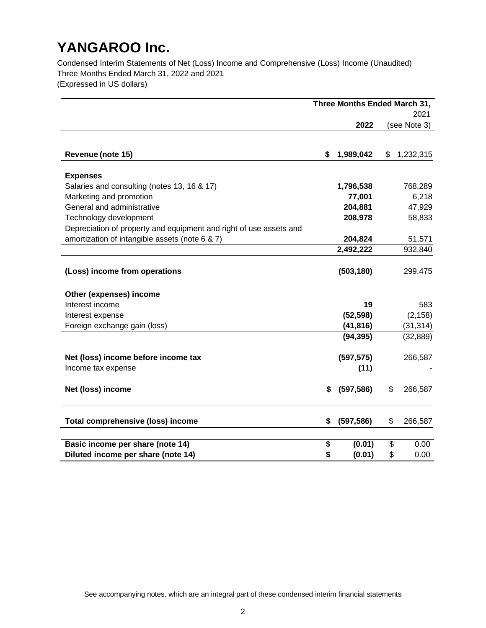Condensed Interim Statements of Net (Loss) Income and Comprehensive (Loss) Income (Unaudited) Three Months Ended March 31, 2022 and 2021

(Expressed in US dollars)

|                                                                    |    | Three Months Ended March 31, |    |              |  |
|--------------------------------------------------------------------|----|------------------------------|----|--------------|--|
|                                                                    |    | 2021                         |    |              |  |
|                                                                    |    | 2022                         |    | (see Note 3) |  |
|                                                                    |    |                              |    |              |  |
| Revenue (note 15)                                                  | \$ | 1,989,042                    | \$ | 1,232,315    |  |
| <b>Expenses</b>                                                    |    |                              |    |              |  |
| Salaries and consulting (notes 13, 16 & 17)                        |    | 1,796,538                    |    | 768,289      |  |
| Marketing and promotion                                            |    | 77,001                       |    | 6,218        |  |
| General and administrative                                         |    | 204,881                      |    | 47,929       |  |
| Technology development                                             |    | 208,978                      |    | 58,833       |  |
| Depreciation of property and equipment and right of use assets and |    |                              |    |              |  |
| amortization of intangible assets (note 6 & 7)                     |    | 204,824                      |    | 51,571       |  |
|                                                                    |    | 2,492,222                    |    | 932,840      |  |
| (Loss) income from operations                                      |    | (503, 180)                   |    | 299,475      |  |
| Other (expenses) income                                            |    |                              |    |              |  |
| Interest income                                                    |    | 19                           |    | 583          |  |
| Interest expense                                                   |    | (52, 598)                    |    | (2, 158)     |  |
| Foreign exchange gain (loss)                                       |    | (41, 816)                    |    | (31, 314)    |  |
|                                                                    |    | (94, 395)                    |    | (32, 889)    |  |
| Net (loss) income before income tax                                |    | (597, 575)                   |    | 266,587      |  |
| Income tax expense                                                 |    | (11)                         |    |              |  |
| Net (loss) income                                                  | \$ | (597, 586)                   | \$ | 266,587      |  |
| <b>Total comprehensive (loss) income</b>                           | S  | (597, 586)                   | \$ | 266,587      |  |
| Basic income per share (note 14)                                   | \$ | (0.01)                       | \$ | 0.00         |  |
| Diluted income per share (note 14)                                 | \$ | (0.01)                       | \$ | 0.00         |  |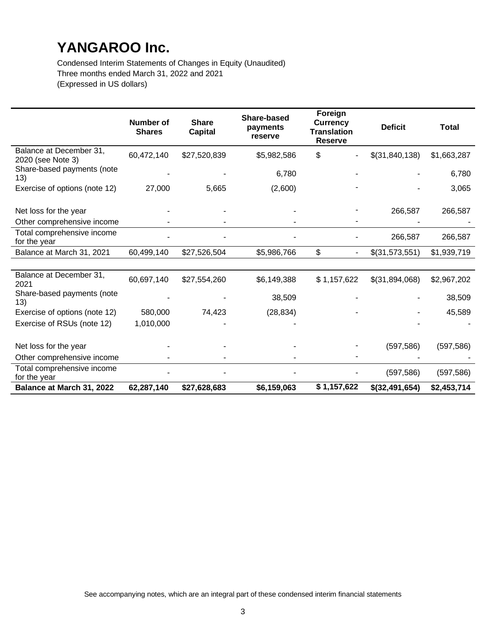Condensed Interim Statements of Changes in Equity (Unaudited) Three months ended March 31, 2022 and 2021 (Expressed in US dollars)

|                                              | <b>Number of</b><br><b>Shares</b> | <b>Share</b><br><b>Capital</b> | <b>Share-based</b><br>payments<br>reserve | Foreign<br><b>Currency</b><br><b>Translation</b><br><b>Reserve</b> | <b>Deficit</b> | <b>Total</b> |
|----------------------------------------------|-----------------------------------|--------------------------------|-------------------------------------------|--------------------------------------------------------------------|----------------|--------------|
| Balance at December 31,<br>2020 (see Note 3) | 60,472,140                        | \$27,520,839                   | \$5,982,586                               | \$                                                                 | \$(31,840,138) | \$1,663,287  |
| Share-based payments (note<br>13)            |                                   |                                | 6,780                                     |                                                                    |                | 6,780        |
| Exercise of options (note 12)                | 27,000                            | 5,665                          | (2,600)                                   |                                                                    |                | 3,065        |
| Net loss for the year                        |                                   |                                |                                           |                                                                    | 266,587        | 266,587      |
| Other comprehensive income                   |                                   |                                |                                           |                                                                    |                |              |
| Total comprehensive income<br>for the year   |                                   |                                |                                           |                                                                    | 266,587        | 266,587      |
| Balance at March 31, 2021                    | 60,499,140                        | \$27,526,504                   | \$5,986,766                               | \$<br>$\blacksquare$                                               | \$(31,573,551) | \$1,939,719  |
|                                              |                                   |                                |                                           |                                                                    |                |              |
| Balance at December 31,<br>2021              | 60,697,140                        | \$27,554,260                   | \$6,149,388                               | \$1,157,622                                                        | \$(31,894,068) | \$2,967,202  |
| Share-based payments (note<br>13)            |                                   |                                | 38,509                                    |                                                                    |                | 38,509       |
| Exercise of options (note 12)                | 580,000                           | 74,423                         | (28, 834)                                 |                                                                    |                | 45,589       |
| Exercise of RSUs (note 12)                   | 1,010,000                         |                                |                                           |                                                                    |                |              |
| Net loss for the year                        |                                   |                                |                                           |                                                                    | (597, 586)     | (597, 586)   |
| Other comprehensive income                   |                                   |                                |                                           |                                                                    |                |              |
| Total comprehensive income<br>for the year   |                                   |                                |                                           |                                                                    | (597, 586)     | (597, 586)   |
| Balance at March 31, 2022                    | 62,287,140                        | \$27,628,683                   | \$6,159,063                               | \$1,157,622                                                        | \$(32,491,654) | \$2,453,714  |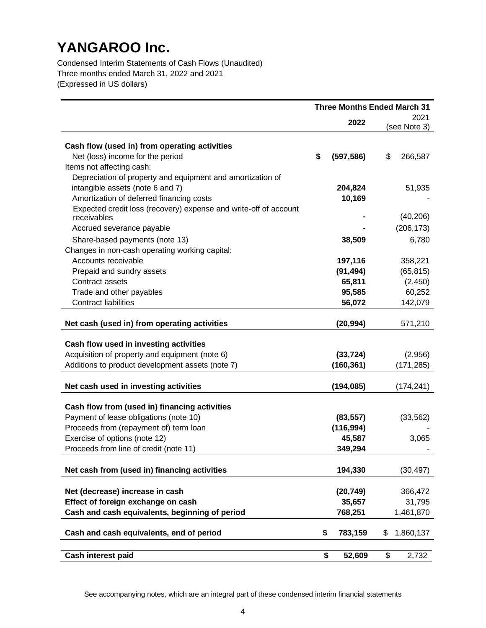Condensed Interim Statements of Cash Flows (Unaudited) Three months ended March 31, 2022 and 2021 (Expressed in US dollars)

|                                                                                      | <b>Three Months Ended March 31</b> |                         |                      |  |
|--------------------------------------------------------------------------------------|------------------------------------|-------------------------|----------------------|--|
|                                                                                      |                                    | 2022                    | 2021<br>(see Note 3) |  |
|                                                                                      |                                    |                         |                      |  |
| Cash flow (used in) from operating activities                                        |                                    |                         |                      |  |
| Net (loss) income for the period                                                     | \$                                 | (597, 586)              | \$<br>266,587        |  |
| Items not affecting cash:                                                            |                                    |                         |                      |  |
| Depreciation of property and equipment and amortization of                           |                                    |                         |                      |  |
| intangible assets (note 6 and 7)                                                     |                                    | 204,824                 | 51,935               |  |
| Amortization of deferred financing costs                                             |                                    | 10,169                  |                      |  |
| Expected credit loss (recovery) expense and write-off of account<br>receivables      |                                    |                         | (40, 206)            |  |
| Accrued severance payable                                                            |                                    |                         | (206, 173)           |  |
| Share-based payments (note 13)                                                       |                                    | 38,509                  | 6,780                |  |
| Changes in non-cash operating working capital:                                       |                                    |                         |                      |  |
| Accounts receivable                                                                  |                                    | 197,116                 | 358,221              |  |
| Prepaid and sundry assets                                                            |                                    | (91, 494)               | (65, 815)            |  |
| Contract assets                                                                      |                                    | 65,811                  | (2, 450)             |  |
| Trade and other payables                                                             |                                    | 95,585                  | 60,252               |  |
| <b>Contract liabilities</b>                                                          |                                    | 56,072                  | 142,079              |  |
|                                                                                      |                                    |                         |                      |  |
| Net cash (used in) from operating activities                                         |                                    | (20, 994)               | 571,210              |  |
| Cash flow used in investing activities                                               |                                    |                         |                      |  |
| Acquisition of property and equipment (note 6)                                       |                                    | (33, 724)               | (2,956)              |  |
| Additions to product development assets (note 7)                                     |                                    | (160, 361)              | (171, 285)           |  |
|                                                                                      |                                    |                         |                      |  |
| Net cash used in investing activities                                                |                                    | (194, 085)              | (174, 241)           |  |
|                                                                                      |                                    |                         |                      |  |
| Cash flow from (used in) financing activities                                        |                                    |                         |                      |  |
| Payment of lease obligations (note 10)<br>Proceeds from (repayment of) term loan     |                                    | (83, 557)<br>(116, 994) | (33, 562)            |  |
| Exercise of options (note 12)                                                        |                                    | 45,587                  | 3,065                |  |
| Proceeds from line of credit (note 11)                                               |                                    | 349,294                 |                      |  |
|                                                                                      |                                    |                         |                      |  |
| Net cash from (used in) financing activities                                         |                                    | 194,330                 | (30, 497)            |  |
|                                                                                      |                                    |                         |                      |  |
| Net (decrease) increase in cash                                                      |                                    | (20, 749)               | 366,472              |  |
| Effect of foreign exchange on cash<br>Cash and cash equivalents, beginning of period |                                    | 35,657<br>768,251       | 31,795<br>1,461,870  |  |
|                                                                                      |                                    |                         |                      |  |
| Cash and cash equivalents, end of period                                             | \$                                 | 783,159                 | 1,860,137<br>\$      |  |
| Cash interest paid                                                                   | \$                                 | 52,609                  | \$<br>2,732          |  |

See accompanying notes, which are an integral part of these condensed interim financial statements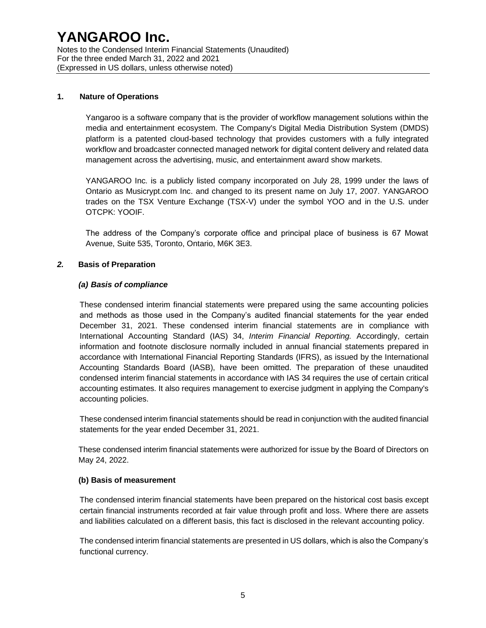#### **1. Nature of Operations**

Yangaroo is a software company that is the provider of workflow management solutions within the media and entertainment ecosystem. The Company's Digital Media Distribution System (DMDS) platform is a patented cloud-based technology that provides customers with a fully integrated workflow and broadcaster connected managed network for digital content delivery and related data management across the advertising, music, and entertainment award show markets.

YANGAROO Inc. is a publicly listed company incorporated on July 28, 1999 under the laws of Ontario as Musicrypt.com Inc. and changed to its present name on July 17, 2007. YANGAROO trades on the TSX Venture Exchange (TSX-V) under the symbol YOO and in the U.S. under OTCPK: YOOIF.

The address of the Company's corporate office and principal place of business is 67 Mowat Avenue, Suite 535, Toronto, Ontario, M6K 3E3.

#### *2.* **Basis of Preparation**

#### *(a) Basis of compliance*

These condensed interim financial statements were prepared using the same accounting policies and methods as those used in the Company's audited financial statements for the year ended December 31, 2021. These condensed interim financial statements are in compliance with International Accounting Standard (IAS) 34, *Interim Financial Reporting.* Accordingly, certain information and footnote disclosure normally included in annual financial statements prepared in accordance with International Financial Reporting Standards (IFRS), as issued by the International Accounting Standards Board (IASB), have been omitted. The preparation of these unaudited condensed interim financial statements in accordance with IAS 34 requires the use of certain critical accounting estimates. It also requires management to exercise judgment in applying the Company's accounting policies.

These condensed interim financial statements should be read in conjunction with the audited financial statements for the year ended December 31, 2021.

These condensed interim financial statements were authorized for issue by the Board of Directors on May 24, 2022.

#### **(b) Basis of measurement**

The condensed interim financial statements have been prepared on the historical cost basis except certain financial instruments recorded at fair value through profit and loss. Where there are assets and liabilities calculated on a different basis, this fact is disclosed in the relevant accounting policy.

The condensed interim financial statements are presented in US dollars, which is also the Company's functional currency.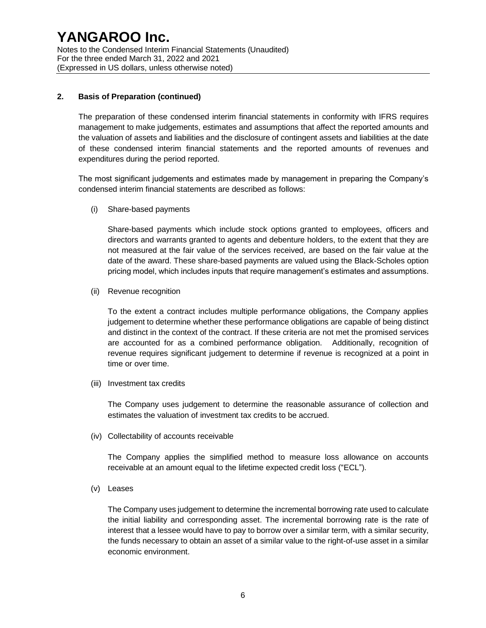#### **2. Basis of Preparation (continued)**

The preparation of these condensed interim financial statements in conformity with IFRS requires management to make judgements, estimates and assumptions that affect the reported amounts and the valuation of assets and liabilities and the disclosure of contingent assets and liabilities at the date of these condensed interim financial statements and the reported amounts of revenues and expenditures during the period reported.

The most significant judgements and estimates made by management in preparing the Company's condensed interim financial statements are described as follows:

(i) Share-based payments

Share-based payments which include stock options granted to employees, officers and directors and warrants granted to agents and debenture holders, to the extent that they are not measured at the fair value of the services received, are based on the fair value at the date of the award. These share-based payments are valued using the Black-Scholes option pricing model, which includes inputs that require management's estimates and assumptions.

(ii) Revenue recognition

To the extent a contract includes multiple performance obligations, the Company applies judgement to determine whether these performance obligations are capable of being distinct and distinct in the context of the contract. If these criteria are not met the promised services are accounted for as a combined performance obligation. Additionally, recognition of revenue requires significant judgement to determine if revenue is recognized at a point in time or over time.

(iii) Investment tax credits

The Company uses judgement to determine the reasonable assurance of collection and estimates the valuation of investment tax credits to be accrued.

(iv) Collectability of accounts receivable

The Company applies the simplified method to measure loss allowance on accounts receivable at an amount equal to the lifetime expected credit loss ("ECL").

(v) Leases

The Company uses judgement to determine the incremental borrowing rate used to calculate the initial liability and corresponding asset. The incremental borrowing rate is the rate of interest that a lessee would have to pay to borrow over a similar term, with a similar security, the funds necessary to obtain an asset of a similar value to the right-of-use asset in a similar economic environment.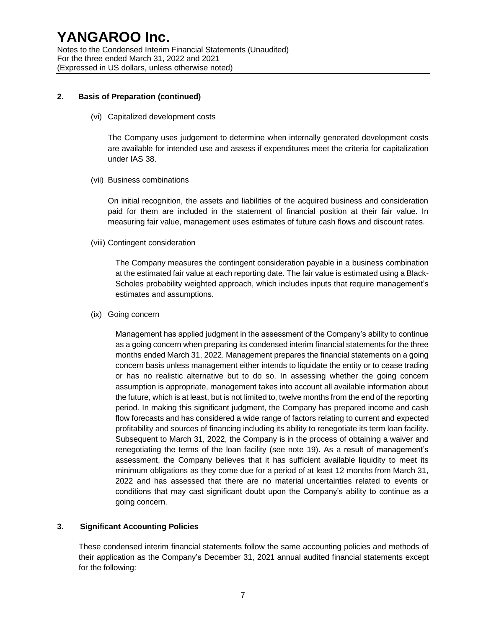#### **2. Basis of Preparation (continued)**

(vi) Capitalized development costs

The Company uses judgement to determine when internally generated development costs are available for intended use and assess if expenditures meet the criteria for capitalization under IAS 38.

(vii) Business combinations

On initial recognition, the assets and liabilities of the acquired business and consideration paid for them are included in the statement of financial position at their fair value. In measuring fair value, management uses estimates of future cash flows and discount rates.

(viii) Contingent consideration

The Company measures the contingent consideration payable in a business combination at the estimated fair value at each reporting date. The fair value is estimated using a Black-Scholes probability weighted approach, which includes inputs that require management's estimates and assumptions.

(ix) Going concern

Management has applied judgment in the assessment of the Company's ability to continue as a going concern when preparing its condensed interim financial statements for the three months ended March 31, 2022. Management prepares the financial statements on a going concern basis unless management either intends to liquidate the entity or to cease trading or has no realistic alternative but to do so. In assessing whether the going concern assumption is appropriate, management takes into account all available information about the future, which is at least, but is not limited to, twelve months from the end of the reporting period. In making this significant judgment, the Company has prepared income and cash flow forecasts and has considered a wide range of factors relating to current and expected profitability and sources of financing including its ability to renegotiate its term loan facility. Subsequent to March 31, 2022, the Company is in the process of obtaining a waiver and renegotiating the terms of the loan facility (see note 19). As a result of management's assessment, the Company believes that it has sufficient available liquidity to meet its minimum obligations as they come due for a period of at least 12 months from March 31, 2022 and has assessed that there are no material uncertainties related to events or conditions that may cast significant doubt upon the Company's ability to continue as a going concern.

#### **3. Significant Accounting Policies**

These condensed interim financial statements follow the same accounting policies and methods of their application as the Company's December 31, 2021 annual audited financial statements except for the following: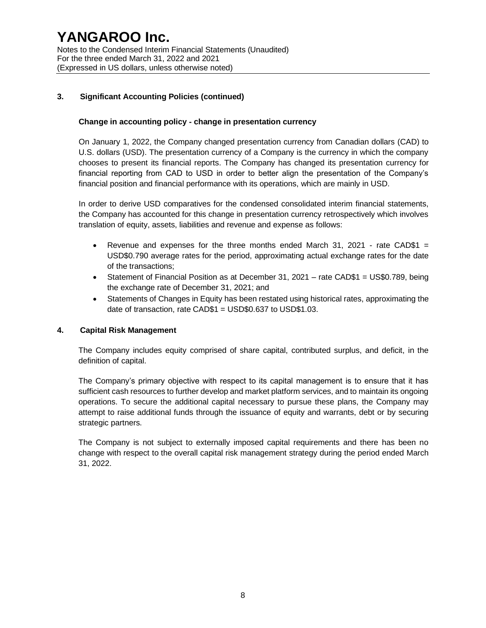### **3. Significant Accounting Policies (continued)**

#### **Change in accounting policy** ‐ **change in presentation currency**

On January 1, 2022, the Company changed presentation currency from Canadian dollars (CAD) to U.S. dollars (USD). The presentation currency of a Company is the currency in which the company chooses to present its financial reports. The Company has changed its presentation currency for financial reporting from CAD to USD in order to better align the presentation of the Company's financial position and financial performance with its operations, which are mainly in USD.

In order to derive USD comparatives for the condensed consolidated interim financial statements, the Company has accounted for this change in presentation currency retrospectively which involves translation of equity, assets, liabilities and revenue and expense as follows:

- Revenue and expenses for the three months ended March 31, 2021 rate CAD\$1 = USD\$0.790 average rates for the period, approximating actual exchange rates for the date of the transactions;
- Statement of Financial Position as at December 31, 2021 rate CAD\$1 = US\$0.789, being the exchange rate of December 31, 2021; and
- Statements of Changes in Equity has been restated using historical rates, approximating the date of transaction, rate CAD\$1 = USD\$0.637 to USD\$1.03.

#### **4. Capital Risk Management**

The Company includes equity comprised of share capital, contributed surplus, and deficit, in the definition of capital.

The Company's primary objective with respect to its capital management is to ensure that it has sufficient cash resources to further develop and market platform services, and to maintain its ongoing operations. To secure the additional capital necessary to pursue these plans, the Company may attempt to raise additional funds through the issuance of equity and warrants, debt or by securing strategic partners.

The Company is not subject to externally imposed capital requirements and there has been no change with respect to the overall capital risk management strategy during the period ended March 31, 2022.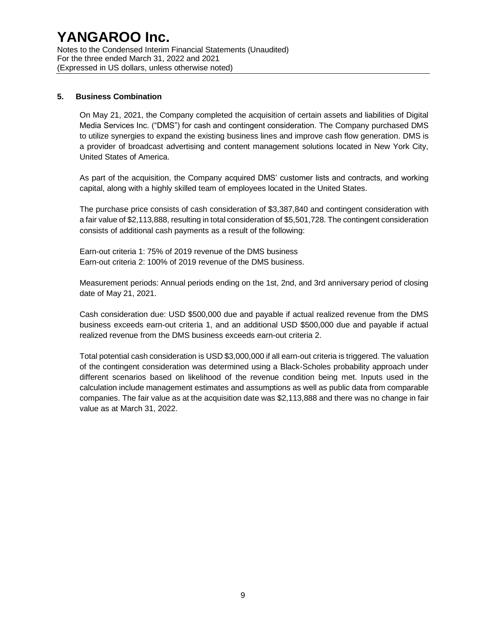#### **5. Business Combination**

On May 21, 2021, the Company completed the acquisition of certain assets and liabilities of Digital Media Services Inc. ("DMS") for cash and contingent consideration. The Company purchased DMS to utilize synergies to expand the existing business lines and improve cash flow generation. DMS is a provider of broadcast advertising and content management solutions located in New York City, United States of America.

As part of the acquisition, the Company acquired DMS' customer lists and contracts, and working capital, along with a highly skilled team of employees located in the United States.

The purchase price consists of cash consideration of \$3,387,840 and contingent consideration with a fair value of \$2,113,888, resulting in total consideration of \$5,501,728. The contingent consideration consists of additional cash payments as a result of the following:

Earn-out criteria 1: 75% of 2019 revenue of the DMS business Earn-out criteria 2: 100% of 2019 revenue of the DMS business.

Measurement periods: Annual periods ending on the 1st, 2nd, and 3rd anniversary period of closing date of May 21, 2021.

Cash consideration due: USD \$500,000 due and payable if actual realized revenue from the DMS business exceeds earn-out criteria 1, and an additional USD \$500,000 due and payable if actual realized revenue from the DMS business exceeds earn-out criteria 2.

Total potential cash consideration is USD \$3,000,000 if all earn-out criteria is triggered. The valuation of the contingent consideration was determined using a Black-Scholes probability approach under different scenarios based on likelihood of the revenue condition being met. Inputs used in the calculation include management estimates and assumptions as well as public data from comparable companies. The fair value as at the acquisition date was \$2,113,888 and there was no change in fair value as at March 31, 2022.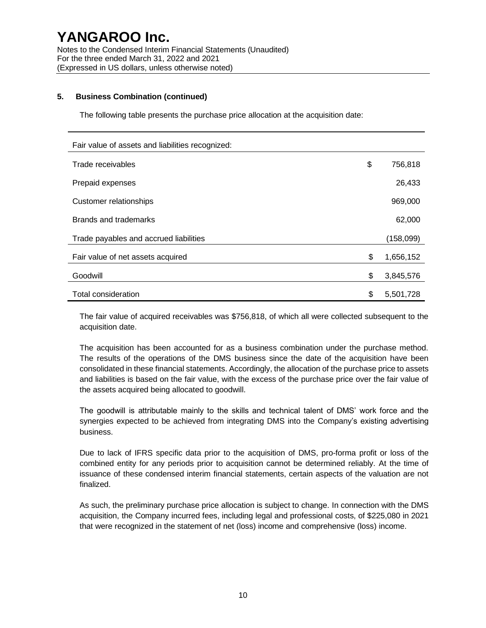#### **5. Business Combination (continued)**

The following table presents the purchase price allocation at the acquisition date:

| Fair value of assets and liabilities recognized: |                 |
|--------------------------------------------------|-----------------|
| Trade receivables                                | \$<br>756,818   |
| Prepaid expenses                                 | 26,433          |
| Customer relationships                           | 969,000         |
| Brands and trademarks                            | 62,000          |
| Trade payables and accrued liabilities           | (158,099)       |
| Fair value of net assets acquired                | \$<br>1,656,152 |
| Goodwill                                         | \$<br>3,845,576 |
| Total consideration                              | \$<br>5,501,728 |

The fair value of acquired receivables was \$756,818, of which all were collected subsequent to the acquisition date.

The acquisition has been accounted for as a business combination under the purchase method. The results of the operations of the DMS business since the date of the acquisition have been consolidated in these financial statements. Accordingly, the allocation of the purchase price to assets and liabilities is based on the fair value, with the excess of the purchase price over the fair value of the assets acquired being allocated to goodwill.

The goodwill is attributable mainly to the skills and technical talent of DMS' work force and the synergies expected to be achieved from integrating DMS into the Company's existing advertising business.

Due to lack of IFRS specific data prior to the acquisition of DMS, pro-forma profit or loss of the combined entity for any periods prior to acquisition cannot be determined reliably. At the time of issuance of these condensed interim financial statements, certain aspects of the valuation are not finalized.

As such, the preliminary purchase price allocation is subject to change. In connection with the DMS acquisition, the Company incurred fees, including legal and professional costs, of \$225,080 in 2021 that were recognized in the statement of net (loss) income and comprehensive (loss) income.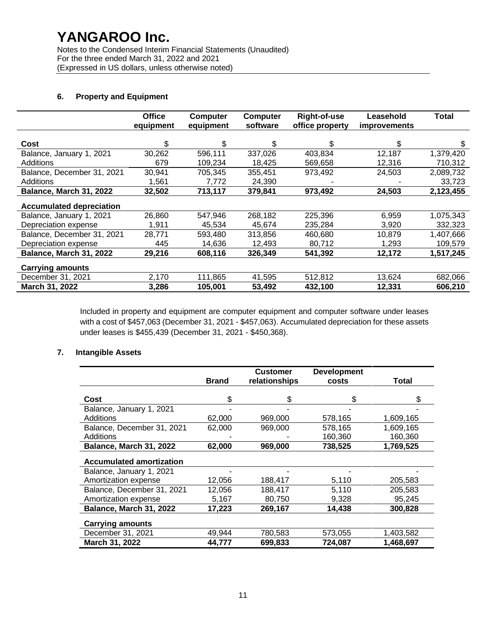Notes to the Condensed Interim Financial Statements (Unaudited) For the three ended March 31, 2022 and 2021 (Expressed in US dollars, unless otherwise noted)

## **6. Property and Equipment**

|                                 | <b>Office</b><br>equipment | <b>Computer</b><br>equipment | Computer<br>software | Right-of-use<br>office property | Leasehold<br><i>improvements</i> | Total     |
|---------------------------------|----------------------------|------------------------------|----------------------|---------------------------------|----------------------------------|-----------|
|                                 |                            |                              |                      |                                 |                                  |           |
| Cost                            | \$                         | \$                           | S.                   | \$                              | S.                               | S         |
| Balance, January 1, 2021        | 30,262                     | 596,111                      | 337,026              | 403,834                         | 12,187                           | 1,379,420 |
| Additions                       | 679                        | 109,234                      | 18,425               | 569,658                         | 12,316                           | 710,312   |
| Balance, December 31, 2021      | 30,941                     | 705,345                      | 355,451              | 973,492                         | 24,503                           | 2,089,732 |
| <b>Additions</b>                | 1,561                      | 7,772                        | 24,390               |                                 |                                  | 33,723    |
| Balance, March 31, 2022         | 32,502                     | 713,117                      | 379,841              | 973,492                         | 24,503                           | 2,123,455 |
| <b>Accumulated depreciation</b> |                            |                              |                      |                                 |                                  |           |
| Balance, January 1, 2021        | 26,860                     | 547,946                      | 268,182              | 225,396                         | 6,959                            | 1,075,343 |
| Depreciation expense            | 1,911                      | 45,534                       | 45,674               | 235,284                         | 3,920                            | 332,323   |
| Balance, December 31, 2021      | 28,771                     | 593,480                      | 313,856              | 460,680                         | 10,879                           | 1,407,666 |
| Depreciation expense            | 445                        | 14,636                       | 12,493               | 80,712                          | 1,293                            | 109,579   |
| Balance, March 31, 2022         | 29,216                     | 608,116                      | 326,349              | 541,392                         | 12,172                           | 1,517,245 |
| <b>Carrying amounts</b>         |                            |                              |                      |                                 |                                  |           |
| December 31, 2021               | 2,170                      | 111,865                      | 41,595               | 512,812                         | 13,624                           | 682,066   |
| March 31, 2022                  | 3,286                      | 105,001                      | 53,492               | 432.100                         | 12,331                           | 606.210   |

Included in property and equipment are computer equipment and computer software under leases with a cost of \$457,063 (December 31, 2021 - \$457,063). Accumulated depreciation for these assets under leases is \$455,439 (December 31, 2021 - \$450,368).

#### **7. Intangible Assets**

|                                 |              | <b>Customer</b> | <b>Development</b> |           |
|---------------------------------|--------------|-----------------|--------------------|-----------|
|                                 | <b>Brand</b> | relationships   | costs              | Total     |
|                                 |              |                 |                    |           |
| Cost                            | \$           | \$              | \$                 |           |
| Balance, January 1, 2021        |              |                 |                    |           |
| Additions                       | 62,000       | 969,000         | 578,165            | 1,609,165 |
| Balance, December 31, 2021      | 62,000       | 969,000         | 578,165            | 1,609,165 |
| Additions                       |              |                 | 160.360            | 160,360   |
| Balance, March 31, 2022         | 62,000       | 969,000         | 738,525            | 1,769,525 |
| <b>Accumulated amortization</b> |              |                 |                    |           |
| Balance, January 1, 2021        |              |                 |                    |           |
| Amortization expense            | 12,056       | 188,417         | 5,110              | 205,583   |
| Balance, December 31, 2021      | 12,056       | 188,417         | 5,110              | 205,583   |
| Amortization expense            | 5,167        | 80,750          | 9,328              | 95,245    |
| Balance, March 31, 2022         | 17,223       | 269,167         | 14,438             | 300,828   |
| <b>Carrying amounts</b>         |              |                 |                    |           |
| December 31, 2021               | 49,944       | 780,583         | 573,055            | 1,403,582 |
| March 31, 2022                  | 44,777       | 699,833         | 724,087            | 1,468,697 |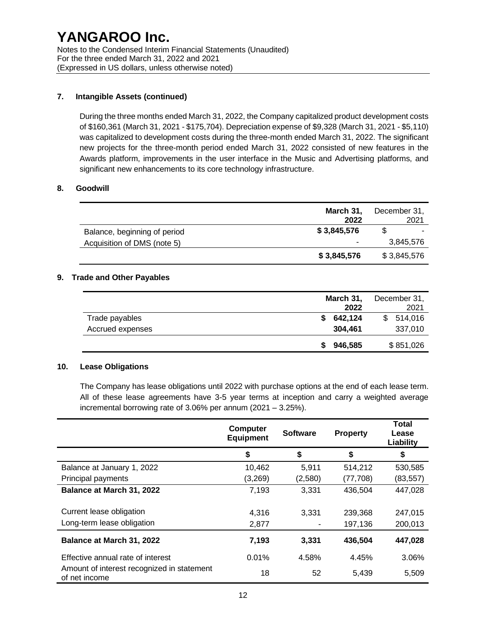#### **7. Intangible Assets (continued)**

During the three months ended March 31, 2022, the Company capitalized product development costs of \$160,361 (March 31, 2021 - \$175,704). Depreciation expense of \$9,328 (March 31, 2021 - \$5,110) was capitalized to development costs during the three-month ended March 31, 2022. The significant new projects for the three-month period ended March 31, 2022 consisted of new features in the Awards platform, improvements in the user interface in the Music and Advertising platforms, and significant new enhancements to its core technology infrastructure.

#### **8. Goodwill**

|                              | March 31,<br>2022 | December 31,<br>2021     |
|------------------------------|-------------------|--------------------------|
| Balance, beginning of period | \$3,845,576       | $\overline{\phantom{a}}$ |
| Acquisition of DMS (note 5)  | ٠                 | 3.845.576                |
|                              | \$3,845,576       | \$3,845,576              |

#### **9. Trade and Other Payables**

|                  | March 31,<br>2022 |         |    | December 31,<br>2021 |
|------------------|-------------------|---------|----|----------------------|
| Trade payables   |                   | 642,124 | S. | 514,016              |
| Accrued expenses |                   | 304.461 |    | 337,010              |
|                  |                   | 946.585 |    | \$851,026            |

#### **10. Lease Obligations**

The Company has lease obligations until 2022 with purchase options at the end of each lease term. All of these lease agreements have 3-5 year terms at inception and carry a weighted average incremental borrowing rate of 3.06% per annum (2021 – 3.25%).

|                                                             | <b>Computer</b><br><b>Equipment</b> | <b>Software</b> | <b>Property</b> | <b>Total</b><br>Lease<br>Liability |
|-------------------------------------------------------------|-------------------------------------|-----------------|-----------------|------------------------------------|
|                                                             | \$                                  | \$              | \$              | \$                                 |
| Balance at January 1, 2022                                  | 10,462                              | 5,911           | 514,212         | 530,585                            |
| Principal payments                                          | (3,269)                             | (2,580)         | (77,708)        | (83, 557)                          |
| Balance at March 31, 2022                                   | 7,193                               | 3,331           | 436,504         | 447,028                            |
| Current lease obligation                                    | 4,316                               | 3.331           | 239,368         | 247,015                            |
| Long-term lease obligation                                  | 2,877                               |                 | 197,136         | 200,013                            |
| Balance at March 31, 2022                                   | 7,193                               | 3,331           | 436,504         | 447,028                            |
| Effective annual rate of interest                           | 0.01%                               | 4.58%           | 4.45%           | 3.06%                              |
| Amount of interest recognized in statement<br>of net income | 18                                  | 52              | 5,439           | 5,509                              |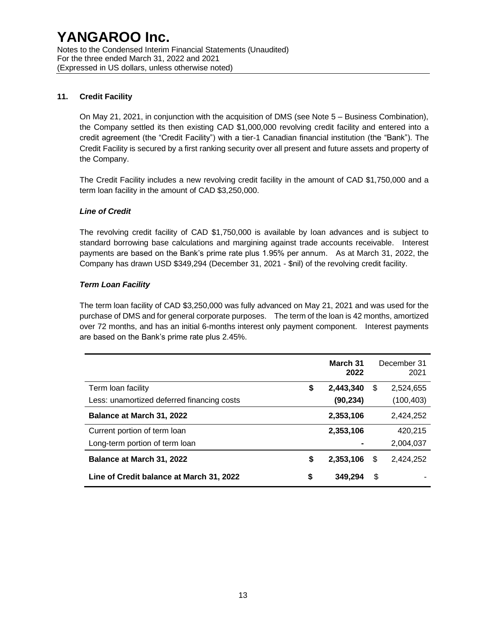## **11. Credit Facility**

On May 21, 2021, in conjunction with the acquisition of DMS (see Note 5 – Business Combination), the Company settled its then existing CAD \$1,000,000 revolving credit facility and entered into a credit agreement (the "Credit Facility") with a tier-1 Canadian financial institution (the "Bank"). The Credit Facility is secured by a first ranking security over all present and future assets and property of the Company.

The Credit Facility includes a new revolving credit facility in the amount of CAD \$1,750,000 and a term loan facility in the amount of CAD \$3,250,000.

#### *Line of Credit*

The revolving credit facility of CAD \$1,750,000 is available by loan advances and is subject to standard borrowing base calculations and margining against trade accounts receivable. Interest payments are based on the Bank's prime rate plus 1.95% per annum. As at March 31, 2022, the Company has drawn USD \$349,294 (December 31, 2021 - \$nil) of the revolving credit facility.

### *Term Loan Facility*

The term loan facility of CAD \$3,250,000 was fully advanced on May 21, 2021 and was used for the purchase of DMS and for general corporate purposes. The term of the loan is 42 months, amortized over 72 months, and has an initial 6-months interest only payment component. Interest payments are based on the Bank's prime rate plus 2.45%.

|                                            |   | March 31<br>2022 |    | December 31<br>2021 |
|--------------------------------------------|---|------------------|----|---------------------|
| Term loan facility                         | S | 2,443,340        | S  | 2,524,655           |
| Less: unamortized deferred financing costs |   | (90, 234)        |    | (100, 403)          |
| Balance at March 31, 2022                  |   | 2,353,106        |    | 2,424,252           |
| Current portion of term loan               |   | 2,353,106        |    | 420.215             |
| Long-term portion of term loan             |   |                  |    | 2,004,037           |
| Balance at March 31, 2022                  | S | 2,353,106        | S  | 2.424.252           |
| Line of Credit balance at March 31, 2022   | S | 349.294          | \$ |                     |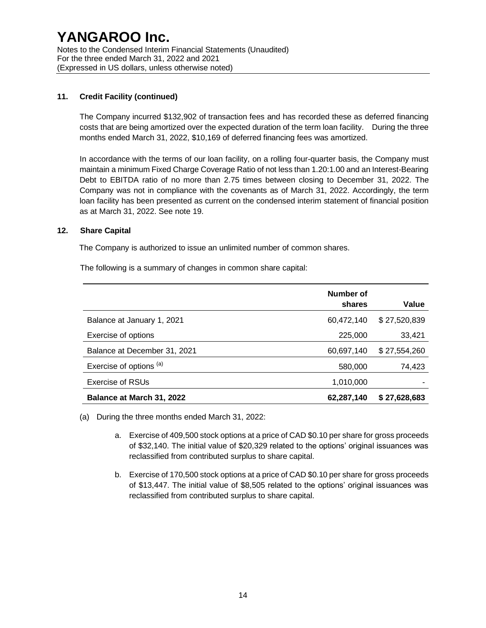### **11. Credit Facility (continued)**

The Company incurred \$132,902 of transaction fees and has recorded these as deferred financing costs that are being amortized over the expected duration of the term loan facility. During the three months ended March 31, 2022, \$10,169 of deferred financing fees was amortized.

In accordance with the terms of our loan facility, on a rolling four-quarter basis, the Company must maintain a minimum Fixed Charge Coverage Ratio of not less than 1.20:1.00 and an Interest-Bearing Debt to EBITDA ratio of no more than 2.75 times between closing to December 31, 2022. The Company was not in compliance with the covenants as of March 31, 2022. Accordingly, the term loan facility has been presented as current on the condensed interim statement of financial position as at March 31, 2022. See note 19.

#### **12. Share Capital**

The Company is authorized to issue an unlimited number of common shares.

The following is a summary of changes in common share capital:

|                              | Number of<br>shares | Value        |
|------------------------------|---------------------|--------------|
| Balance at January 1, 2021   | 60,472,140          | \$27,520,839 |
| Exercise of options          | 225,000             | 33,421       |
| Balance at December 31, 2021 | 60,697,140          | \$27,554,260 |
| Exercise of options (a)      | 580,000             | 74,423       |
| <b>Exercise of RSUs</b>      | 1,010,000           |              |
| Balance at March 31, 2022    | 62,287,140          | \$27,628,683 |

(a) During the three months ended March 31, 2022:

- a. Exercise of 409,500 stock options at a price of CAD \$0.10 per share for gross proceeds of \$32,140. The initial value of \$20,329 related to the options' original issuances was reclassified from contributed surplus to share capital.
- b. Exercise of 170,500 stock options at a price of CAD \$0.10 per share for gross proceeds of \$13,447. The initial value of \$8,505 related to the options' original issuances was reclassified from contributed surplus to share capital.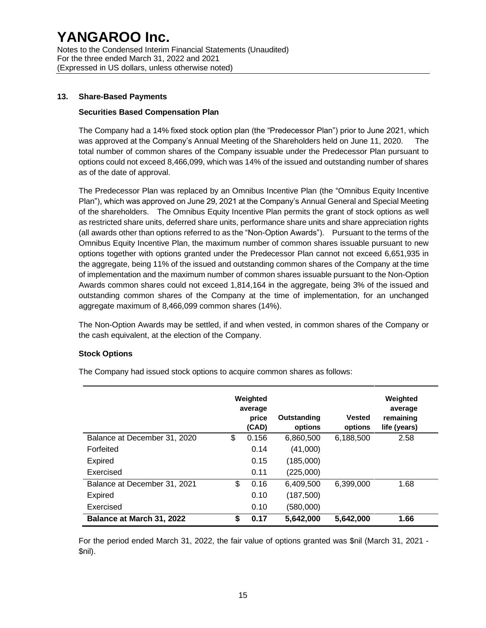Notes to the Condensed Interim Financial Statements (Unaudited) For the three ended March 31, 2022 and 2021 (Expressed in US dollars, unless otherwise noted)

#### **13. Share-Based Payments**

#### **Securities Based Compensation Plan**

The Company had a 14% fixed stock option plan (the "Predecessor Plan") prior to June 2021, which was approved at the Company's Annual Meeting of the Shareholders held on June 11, 2020. The total number of common shares of the Company issuable under the Predecessor Plan pursuant to options could not exceed 8,466,099, which was 14% of the issued and outstanding number of shares as of the date of approval.

The Predecessor Plan was replaced by an Omnibus Incentive Plan (the "Omnibus Equity Incentive Plan"), which was approved on June 29, 2021 at the Company's Annual General and Special Meeting of the shareholders. The Omnibus Equity Incentive Plan permits the grant of stock options as well as restricted share units, deferred share units, performance share units and share appreciation rights (all awards other than options referred to as the "Non-Option Awards"). Pursuant to the terms of the Omnibus Equity Incentive Plan, the maximum number of common shares issuable pursuant to new options together with options granted under the Predecessor Plan cannot not exceed 6,651,935 in the aggregate, being 11% of the issued and outstanding common shares of the Company at the time of implementation and the maximum number of common shares issuable pursuant to the Non-Option Awards common shares could not exceed 1,814,164 in the aggregate, being 3% of the issued and outstanding common shares of the Company at the time of implementation, for an unchanged aggregate maximum of 8,466,099 common shares (14%).

The Non-Option Awards may be settled, if and when vested, in common shares of the Company or the cash equivalent, at the election of the Company.

#### **Stock Options**

|                              | Weighted<br>average<br>price<br>(CAD) | Outstanding<br>options | <b>Vested</b><br>options | Weighted<br>average<br>remaining<br>life (years) |
|------------------------------|---------------------------------------|------------------------|--------------------------|--------------------------------------------------|
| Balance at December 31, 2020 | \$<br>0.156                           | 6,860,500              | 6,188,500                | 2.58                                             |
| Forfeited                    | 0.14                                  | (41,000)               |                          |                                                  |
| Expired                      | 0.15                                  | (185,000)              |                          |                                                  |
| Exercised                    | 0.11                                  | (225,000)              |                          |                                                  |
| Balance at December 31, 2021 | \$<br>0.16                            | 6,409,500              | 6,399,000                | 1.68                                             |
| <b>Expired</b>               | 0.10                                  | (187,500)              |                          |                                                  |
| Exercised                    | 0.10                                  | (580,000)              |                          |                                                  |
| Balance at March 31, 2022    | \$<br>0.17                            | 5,642,000              | 5,642,000                | 1.66                                             |

The Company had issued stock options to acquire common shares as follows:

For the period ended March 31, 2022, the fair value of options granted was \$nil (March 31, 2021 - \$nil).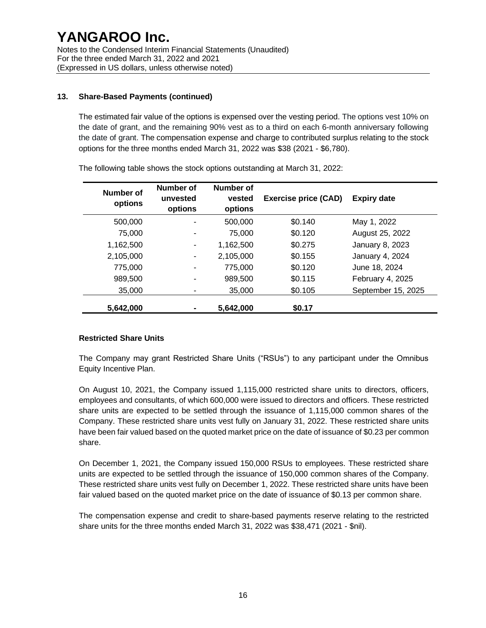## **13. Share-Based Payments (continued)**

The estimated fair value of the options is expensed over the vesting period. The options vest 10% on the date of grant, and the remaining 90% vest as to a third on each 6-month anniversary following the date of grant. The compensation expense and charge to contributed surplus relating to the stock options for the three months ended March 31, 2022 was \$38 (2021 - \$6,780).

| Number of<br>options | Number of<br>unvested<br>options | Number of<br>vested<br>options | <b>Exercise price (CAD)</b> | <b>Expiry date</b> |
|----------------------|----------------------------------|--------------------------------|-----------------------------|--------------------|
| 500,000              |                                  | 500,000                        | \$0.140                     | May 1, 2022        |
| 75,000               |                                  | 75,000                         | \$0.120                     | August 25, 2022    |
| 1,162,500            |                                  | 1,162,500                      | \$0.275                     | January 8, 2023    |
| 2,105,000            |                                  | 2,105,000                      | \$0.155                     | January 4, 2024    |
| 775,000              |                                  | 775,000                        | \$0.120                     | June 18, 2024      |
| 989,500              |                                  | 989,500                        | \$0.115                     | February 4, 2025   |
| 35,000               |                                  | 35,000                         | \$0.105                     | September 15, 2025 |
| 5,642,000            |                                  | 5.642.000                      | \$0.17                      |                    |

The following table shows the stock options outstanding at March 31, 2022:

#### **Restricted Share Units**

The Company may grant Restricted Share Units ("RSUs") to any participant under the Omnibus Equity Incentive Plan.

On August 10, 2021, the Company issued 1,115,000 restricted share units to directors, officers, employees and consultants, of which 600,000 were issued to directors and officers. These restricted share units are expected to be settled through the issuance of 1,115,000 common shares of the Company. These restricted share units vest fully on January 31, 2022. These restricted share units have been fair valued based on the quoted market price on the date of issuance of \$0.23 per common share.

On December 1, 2021, the Company issued 150,000 RSUs to employees. These restricted share units are expected to be settled through the issuance of 150,000 common shares of the Company. These restricted share units vest fully on December 1, 2022. These restricted share units have been fair valued based on the quoted market price on the date of issuance of \$0.13 per common share.

The compensation expense and credit to share-based payments reserve relating to the restricted share units for the three months ended March 31, 2022 was \$38,471 (2021 - \$nil).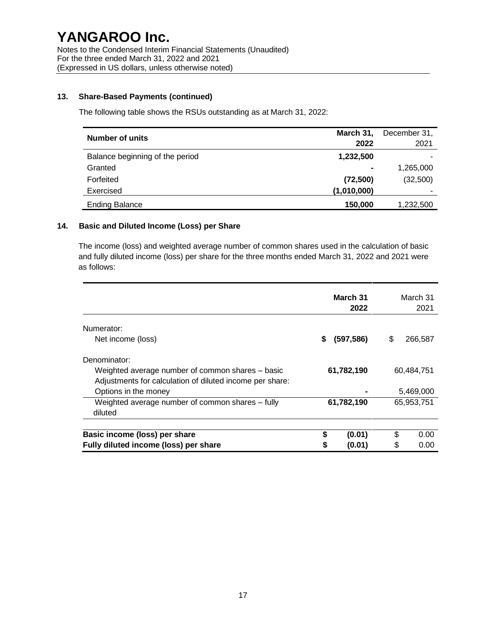Notes to the Condensed Interim Financial Statements (Unaudited) For the three ended March 31, 2022 and 2021 (Expressed in US dollars, unless otherwise noted)

#### **13. Share-Based Payments (continued)**

The following table shows the RSUs outstanding as at March 31, 2022:

| <b>Number of units</b>          | March 31,      | December 31, |
|---------------------------------|----------------|--------------|
|                                 | 2022           | 2021         |
| Balance beginning of the period | 1,232,500      |              |
| Granted                         | $\blacksquare$ | 1,265,000    |
| Forfeited                       | (72, 500)      | (32,500)     |
| Exercised                       | (1,010,000)    | -            |
| <b>Ending Balance</b>           | 150,000        | 1,232,500    |

#### **14. Basic and Diluted Income (Loss) per Share**

The income (loss) and weighted average number of common shares used in the calculation of basic and fully diluted income (loss) per share for the three months ended March 31, 2022 and 2021 were as follows:

|                                                                                                                              |        | March 31<br>2022 | March 31<br>2021 |              |
|------------------------------------------------------------------------------------------------------------------------------|--------|------------------|------------------|--------------|
| Numerator:<br>Net income (loss)                                                                                              | S.     | (597, 586)       | \$               | 266,587      |
| Denominator:<br>Weighted average number of common shares – basic<br>Adjustments for calculation of diluted income per share: |        | 61,782,190       |                  | 60,484,751   |
| Options in the money                                                                                                         |        |                  |                  | 5,469,000    |
| Weighted average number of common shares - fully<br>diluted                                                                  |        | 61,782,190       |                  | 65,953,751   |
| Basic income (loss) per share<br>Fully diluted income (loss) per share                                                       | S<br>S | (0.01)<br>(0.01) | \$<br>\$         | 0.00<br>0.00 |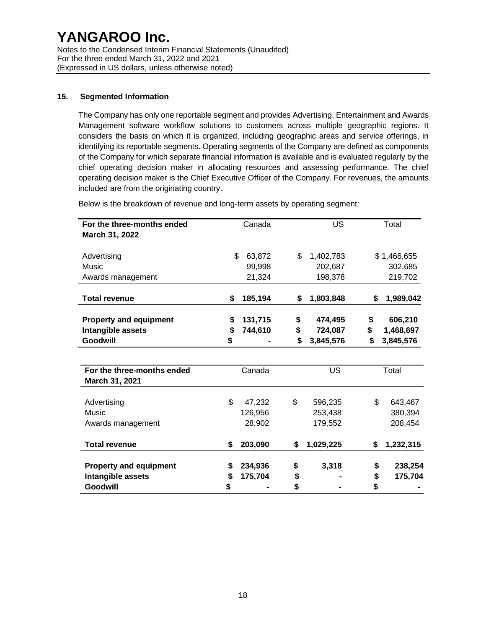## **15. Segmented Information**

The Company has only one reportable segment and provides Advertising, Entertainment and Awards Management software workflow solutions to customers across multiple geographic regions. It considers the basis on which it is organized, including geographic areas and service offerings, in identifying its reportable segments. Operating segments of the Company are defined as components of the Company for which separate financial information is available and is evaluated regularly by the chief operating decision maker in allocating resources and assessing performance. The chief operating decision maker is the Chief Executive Officer of the Company. For revenues, the amounts included are from the originating country.

| For the three-months ended<br>March 31, 2022 |    | Canada  | US              |    | Total       |  |
|----------------------------------------------|----|---------|-----------------|----|-------------|--|
| Advertising                                  | \$ | 63,872  | \$<br>1,402,783 |    | \$1,466,655 |  |
| Music                                        |    | 99,998  | 202,687         |    | 302,685     |  |
| Awards management                            |    | 21,324  | 198,378         |    | 219,702     |  |
| <b>Total revenue</b>                         | \$ | 185,194 | \$<br>1,803,848 | \$ | 1,989,042   |  |
| <b>Property and equipment</b>                | \$ | 131,715 | \$<br>474,495   | \$ | 606,210     |  |
| Intangible assets                            | \$ | 744,610 | \$<br>724,087   | \$ | 1,468,697   |  |
| Goodwill                                     | \$ |         | \$<br>3,845,576 | \$ | 3,845,576   |  |
|                                              |    |         |                 |    |             |  |
| For the three-months ended                   |    | Canada  | <b>US</b>       |    | Total       |  |
| March 31, 2021                               |    |         |                 |    |             |  |
| Advertising                                  | \$ | 47,232  | \$<br>596,235   | \$ | 643,467     |  |
| Music                                        |    | 126,956 | 253,438         |    | 380,394     |  |
| Awards management                            |    | 28,902  | 179,552         |    | 208,454     |  |
| <b>Total revenue</b>                         | \$ | 203,090 | \$<br>1,029,225 | \$ | 1,232,315   |  |
| <b>Property and equipment</b>                | S  | 234,936 | \$<br>3,318     | \$ | 238,254     |  |
| Intangible assets                            | S  | 175,704 | \$              | \$ | 175,704     |  |
| Goodwill                                     | \$ |         | \$              | \$ |             |  |

Below is the breakdown of revenue and long-term assets by operating segment: